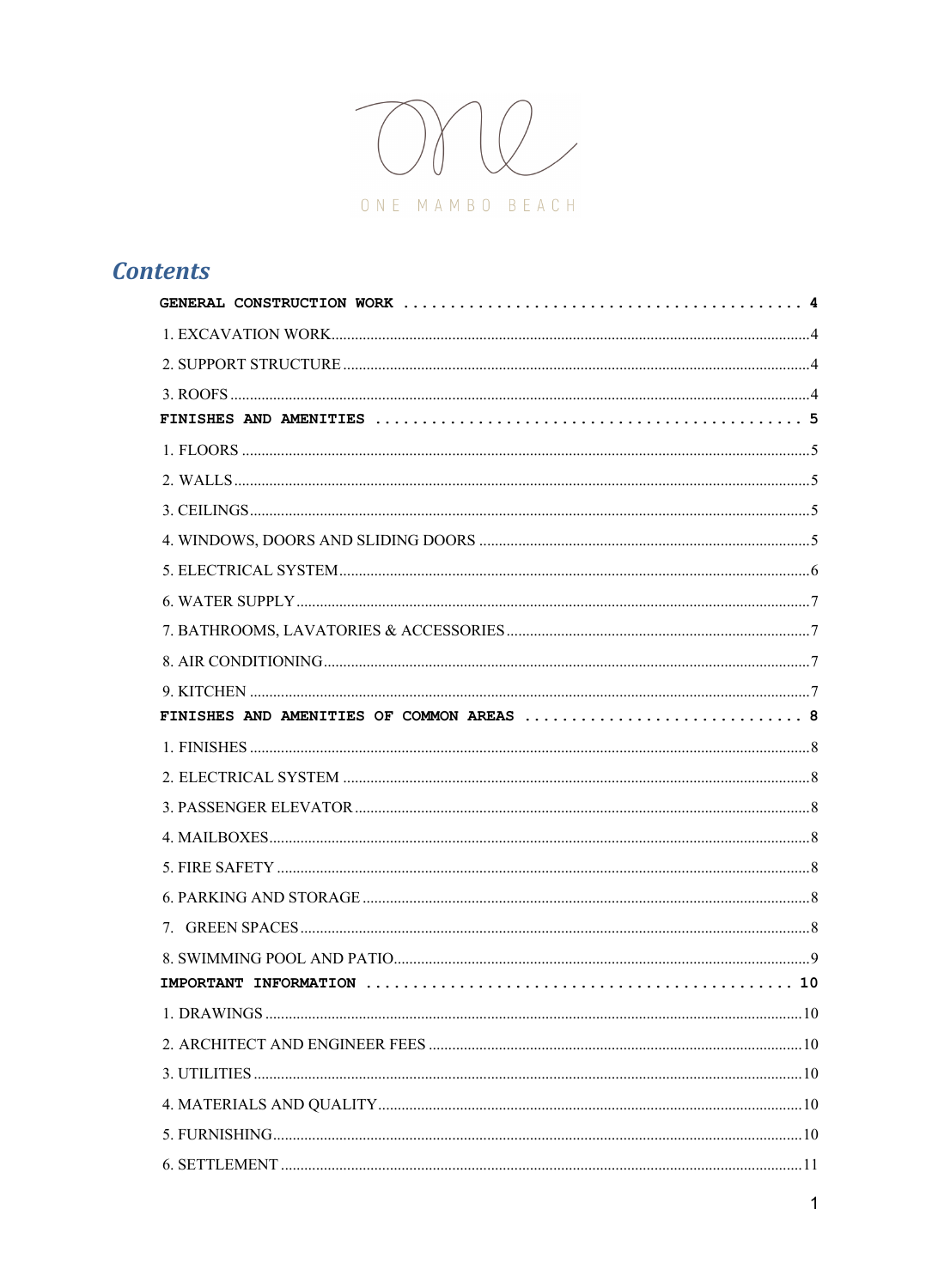

# **Contents**

| FINISHES AND AMENITIES OF COMMON AREAS  8 |
|-------------------------------------------|
|                                           |
|                                           |
|                                           |
|                                           |
|                                           |
|                                           |
|                                           |
|                                           |
|                                           |
|                                           |
|                                           |
|                                           |
|                                           |
|                                           |
|                                           |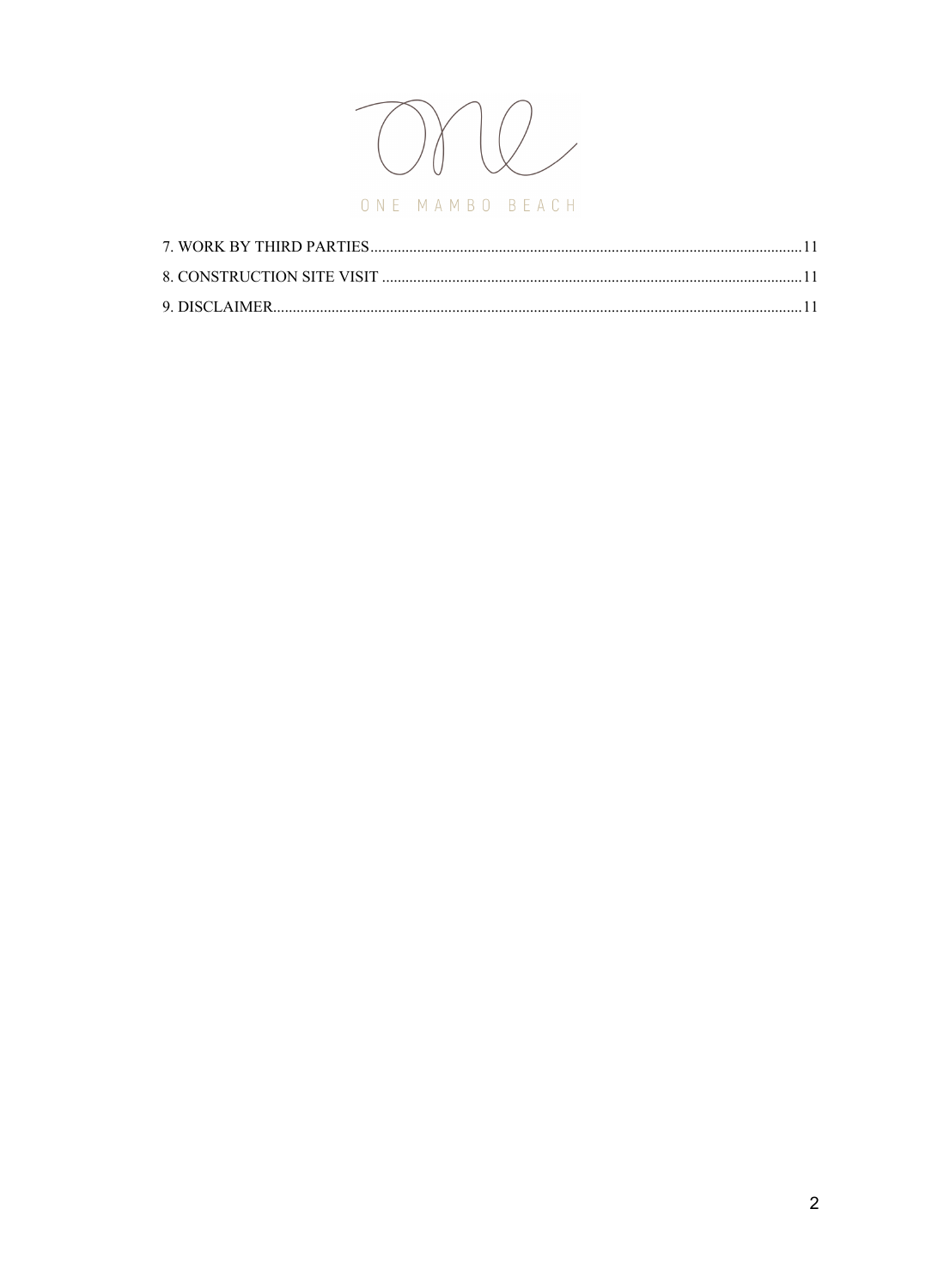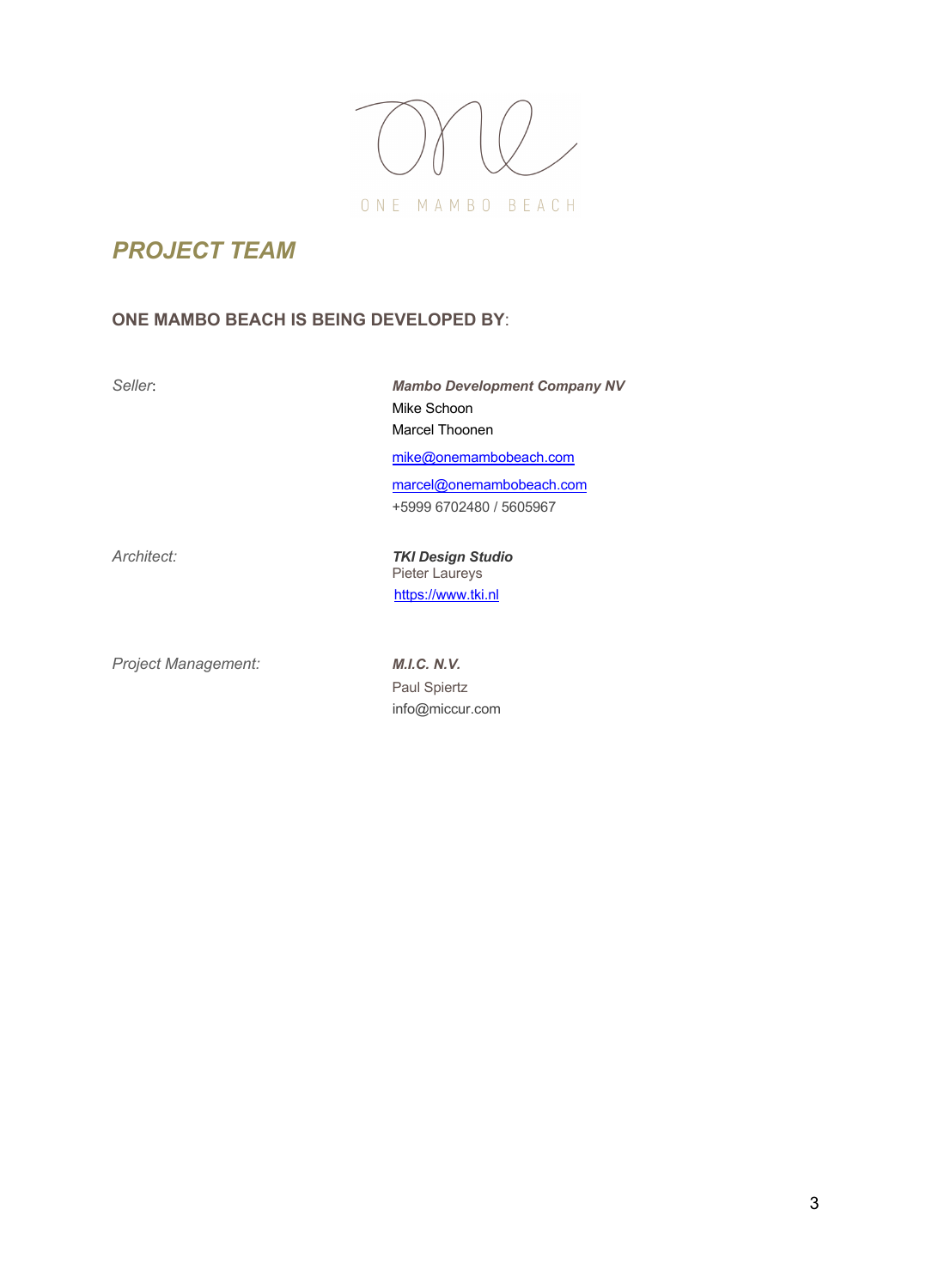

# *PROJECT TEAM*

# **ONE MAMBO BEACH IS BEING DEVELOPED BY**:

*Seller*: *Mambo Development Company NV* Mike Schoon Marcel Thoonen mike@onemambobeach.com marcel@onemambobeach.com +5999 6702480 / 5605967

*Architect: TKI Design Studio* Pieter Laureys https://www.tki.nl

*Project Management: M.I.C. N.V.*

Paul Spiertz info@miccur.com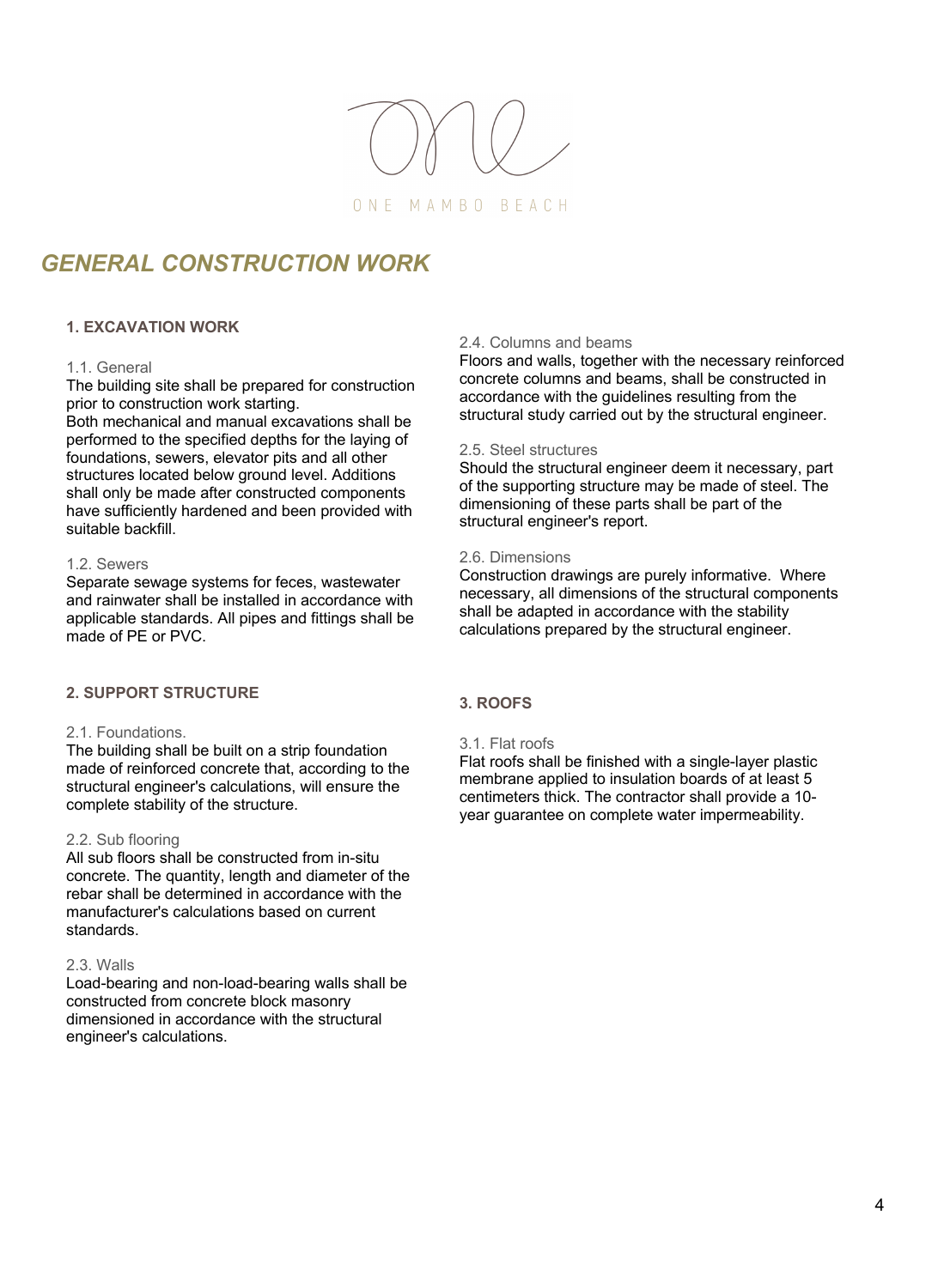

# *GENERAL CONSTRUCTION WORK*

# **1. EXCAVATION WORK**

## 1.1. General

The building site shall be prepared for construction prior to construction work starting.

Both mechanical and manual excavations shall be performed to the specified depths for the laying of foundations, sewers, elevator pits and all other structures located below ground level. Additions shall only be made after constructed components have sufficiently hardened and been provided with suitable backfill.

# 1.2. Sewers

Separate sewage systems for feces, wastewater and rainwater shall be installed in accordance with applicable standards. All pipes and fittings shall be made of PE or PVC.

# **2. SUPPORT STRUCTURE**

# 2.1. Foundations.

The building shall be built on a strip foundation made of reinforced concrete that, according to the structural engineer's calculations, will ensure the complete stability of the structure.

## 2.2. Sub flooring

All sub floors shall be constructed from in-situ concrete. The quantity, length and diameter of the rebar shall be determined in accordance with the manufacturer's calculations based on current standards.

#### 2.3. Walls

Load-bearing and non-load-bearing walls shall be constructed from concrete block masonry dimensioned in accordance with the structural engineer's calculations.

# 2.4. Columns and beams

Floors and walls, together with the necessary reinforced concrete columns and beams, shall be constructed in accordance with the guidelines resulting from the structural study carried out by the structural engineer.

#### 2.5. Steel structures

Should the structural engineer deem it necessary, part of the supporting structure may be made of steel. The dimensioning of these parts shall be part of the structural engineer's report.

# 2.6. Dimensions

Construction drawings are purely informative. Where necessary, all dimensions of the structural components shall be adapted in accordance with the stability calculations prepared by the structural engineer.

## **3. ROOFS**

#### 3.1. Flat roofs

Flat roofs shall be finished with a single-layer plastic membrane applied to insulation boards of at least 5 centimeters thick. The contractor shall provide a 10 year guarantee on complete water impermeability.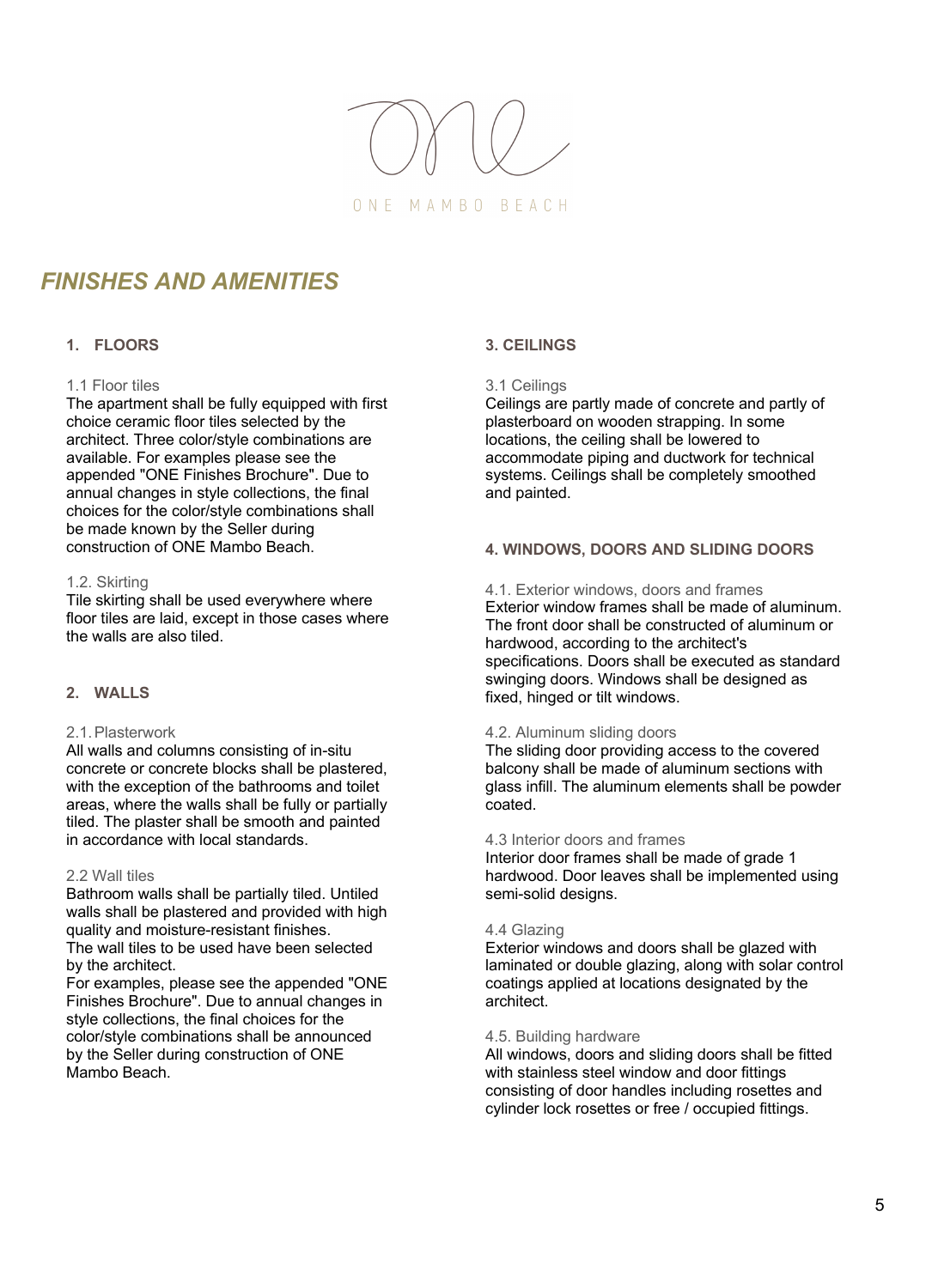

# *FINISHES AND AMENITIES*

# **1. FLOORS**

# 1.1 Floor tiles

The apartment shall be fully equipped with first choice ceramic floor tiles selected by the architect. Three color/style combinations are available. For examples please see the appended "ONE Finishes Brochure". Due to annual changes in style collections, the final choices for the color/style combinations shall be made known by the Seller during construction of ONE Mambo Beach.

## 1.2. Skirting

Tile skirting shall be used everywhere where floor tiles are laid, except in those cases where the walls are also tiled.

# **2. WALLS**

## 2.1.Plasterwork

All walls and columns consisting of in-situ concrete or concrete blocks shall be plastered, with the exception of the bathrooms and toilet areas, where the walls shall be fully or partially tiled. The plaster shall be smooth and painted in accordance with local standards.

## 2.2 Wall tiles

Bathroom walls shall be partially tiled. Untiled walls shall be plastered and provided with high quality and moisture-resistant finishes. The wall tiles to be used have been selected

by the architect. For examples, please see the appended "ONE Finishes Brochure". Due to annual changes in style collections, the final choices for the color/style combinations shall be announced by the Seller during construction of ONE Mambo Beach.

# **3. CEILINGS**

# 3.1 Ceilings

Ceilings are partly made of concrete and partly of plasterboard on wooden strapping. In some locations, the ceiling shall be lowered to accommodate piping and ductwork for technical systems. Ceilings shall be completely smoothed and painted.

# **4. WINDOWS, DOORS AND SLIDING DOORS**

4.1. Exterior windows, doors and frames Exterior window frames shall be made of aluminum.

The front door shall be constructed of aluminum or hardwood, according to the architect's specifications. Doors shall be executed as standard swinging doors. Windows shall be designed as fixed, hinged or tilt windows.

## 4.2. Aluminum sliding doors

The sliding door providing access to the covered balcony shall be made of aluminum sections with glass infill. The aluminum elements shall be powder coated.

# 4.3 Interior doors and frames

Interior door frames shall be made of grade 1 hardwood. Door leaves shall be implemented using semi-solid designs.

## 4.4 Glazing

Exterior windows and doors shall be glazed with laminated or double glazing, along with solar control coatings applied at locations designated by the architect.

## 4.5. Building hardware

All windows, doors and sliding doors shall be fitted with stainless steel window and door fittings consisting of door handles including rosettes and cylinder lock rosettes or free / occupied fittings.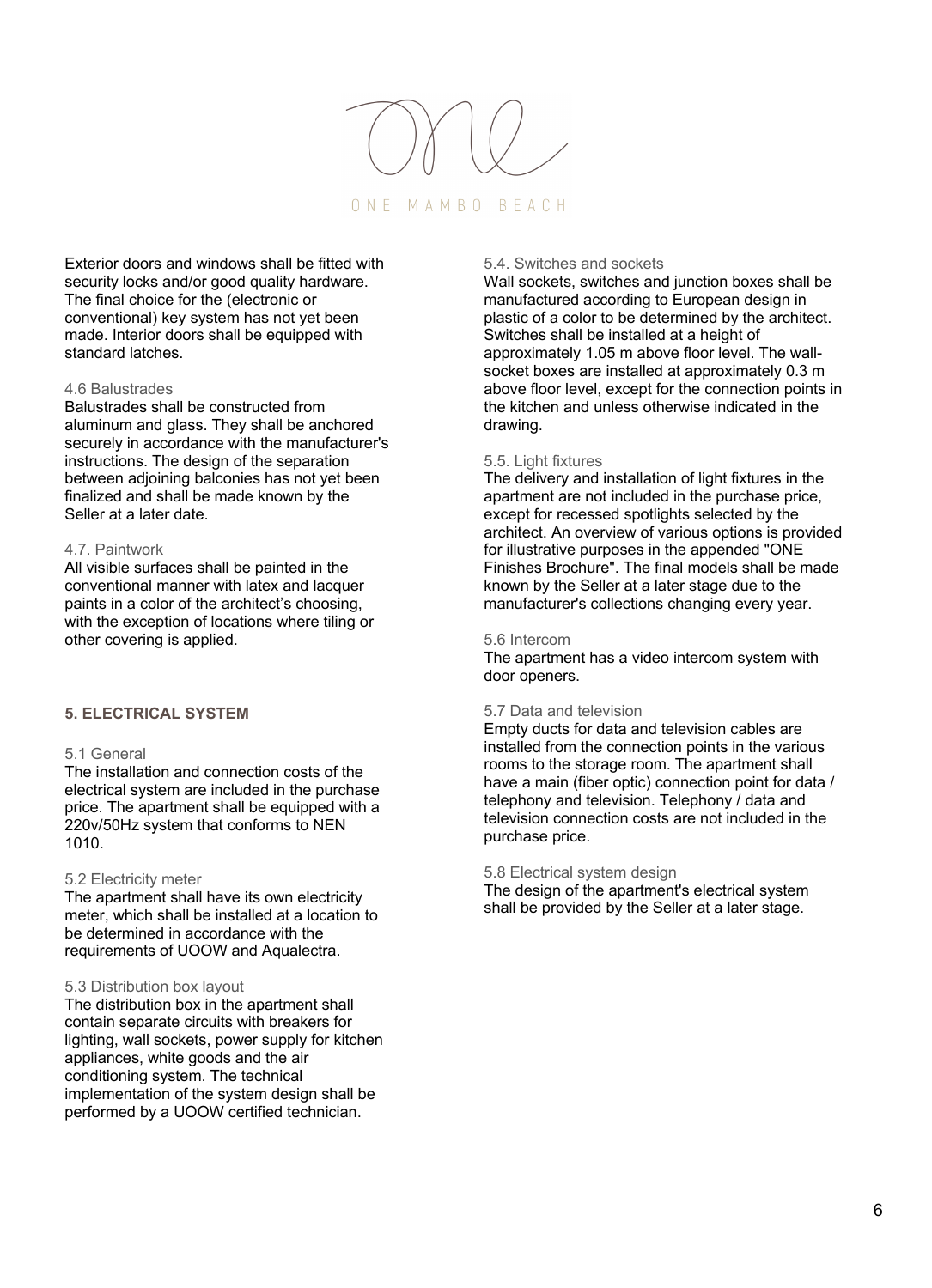# ONE MAMBO BEACH

Exterior doors and windows shall be fitted with security locks and/or good quality hardware. The final choice for the (electronic or conventional) key system has not yet been made. Interior doors shall be equipped with standard latches.

#### 4.6 Balustrades

Balustrades shall be constructed from aluminum and glass. They shall be anchored securely in accordance with the manufacturer's instructions. The design of the separation between adjoining balconies has not yet been finalized and shall be made known by the Seller at a later date.

#### 4.7. Paintwork

All visible surfaces shall be painted in the conventional manner with latex and lacquer paints in a color of the architect's choosing, with the exception of locations where tiling or other covering is applied.

# **5. ELECTRICAL SYSTEM**

# 5.1 General

The installation and connection costs of the electrical system are included in the purchase price. The apartment shall be equipped with a 220v/50Hz system that conforms to NEN 1010.

#### 5.2 Electricity meter

The apartment shall have its own electricity meter, which shall be installed at a location to be determined in accordance with the requirements of UOOW and Aqualectra.

#### 5.3 Distribution box layout

The distribution box in the apartment shall contain separate circuits with breakers for lighting, wall sockets, power supply for kitchen appliances, white goods and the air conditioning system. The technical implementation of the system design shall be performed by a UOOW certified technician.

# 5.4. Switches and sockets

Wall sockets, switches and junction boxes shall be manufactured according to European design in plastic of a color to be determined by the architect. Switches shall be installed at a height of approximately 1.05 m above floor level. The wallsocket boxes are installed at approximately 0.3 m above floor level, except for the connection points in the kitchen and unless otherwise indicated in the drawing.

#### 5.5. Light fixtures

The delivery and installation of light fixtures in the apartment are not included in the purchase price, except for recessed spotlights selected by the architect. An overview of various options is provided for illustrative purposes in the appended "ONE Finishes Brochure". The final models shall be made known by the Seller at a later stage due to the manufacturer's collections changing every year.

#### 5.6 Intercom

The apartment has a video intercom system with door openers.

#### 5.7 Data and television

Empty ducts for data and television cables are installed from the connection points in the various rooms to the storage room. The apartment shall have a main (fiber optic) connection point for data / telephony and television. Telephony / data and television connection costs are not included in the purchase price.

#### 5.8 Electrical system design

The design of the apartment's electrical system shall be provided by the Seller at a later stage.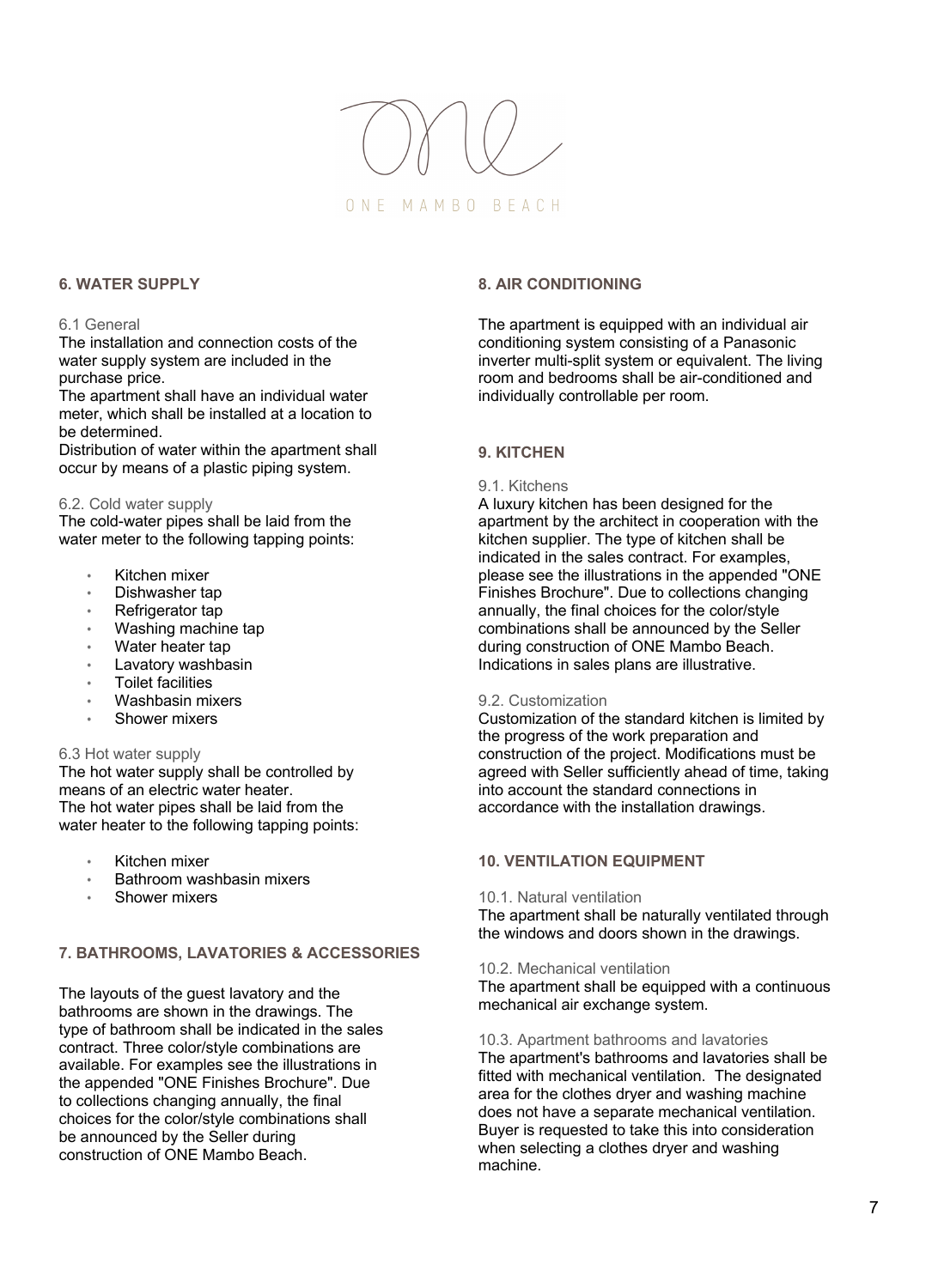

# **6. WATER SUPPLY**

# 6.1 General

The installation and connection costs of the water supply system are included in the purchase price.

The apartment shall have an individual water meter, which shall be installed at a location to be determined.

Distribution of water within the apartment shall occur by means of a plastic piping system.

## 6.2. Cold water supply

The cold-water pipes shall be laid from the water meter to the following tapping points:

- Kitchen mixer
- Dishwasher tap
- Refrigerator tap
- Washing machine tap
- Water heater tap
- Lavatory washbasin
- Toilet facilities
- Washbasin mixers
- Shower mixers

# 6.3 Hot water supply

The hot water supply shall be controlled by means of an electric water heater. The hot water pipes shall be laid from the water heater to the following tapping points:

- Kitchen mixer
- Bathroom washbasin mixers
- Shower mixers

# **7. BATHROOMS, LAVATORIES & ACCESSORIES**

The layouts of the guest lavatory and the bathrooms are shown in the drawings. The type of bathroom shall be indicated in the sales contract. Three color/style combinations are available. For examples see the illustrations in the appended "ONE Finishes Brochure". Due to collections changing annually, the final choices for the color/style combinations shall be announced by the Seller during construction of ONE Mambo Beach.

# **8. AIR CONDITIONING**

The apartment is equipped with an individual air conditioning system consisting of a Panasonic inverter multi-split system or equivalent. The living room and bedrooms shall be air-conditioned and individually controllable per room.

# **9. KITCHEN**

# 9.1. Kitchens

A luxury kitchen has been designed for the apartment by the architect in cooperation with the kitchen supplier. The type of kitchen shall be indicated in the sales contract. For examples, please see the illustrations in the appended "ONE Finishes Brochure". Due to collections changing annually, the final choices for the color/style combinations shall be announced by the Seller during construction of ONE Mambo Beach. Indications in sales plans are illustrative.

## 9.2. Customization

Customization of the standard kitchen is limited by the progress of the work preparation and construction of the project. Modifications must be agreed with Seller sufficiently ahead of time, taking into account the standard connections in accordance with the installation drawings.

# **10. VENTILATION EQUIPMENT**

## 10.1. Natural ventilation

The apartment shall be naturally ventilated through the windows and doors shown in the drawings.

## 10.2. Mechanical ventilation

The apartment shall be equipped with a continuous mechanical air exchange system.

## 10.3. Apartment bathrooms and lavatories

The apartment's bathrooms and lavatories shall be fitted with mechanical ventilation. The designated area for the clothes dryer and washing machine does not have a separate mechanical ventilation. Buyer is requested to take this into consideration when selecting a clothes dryer and washing machine.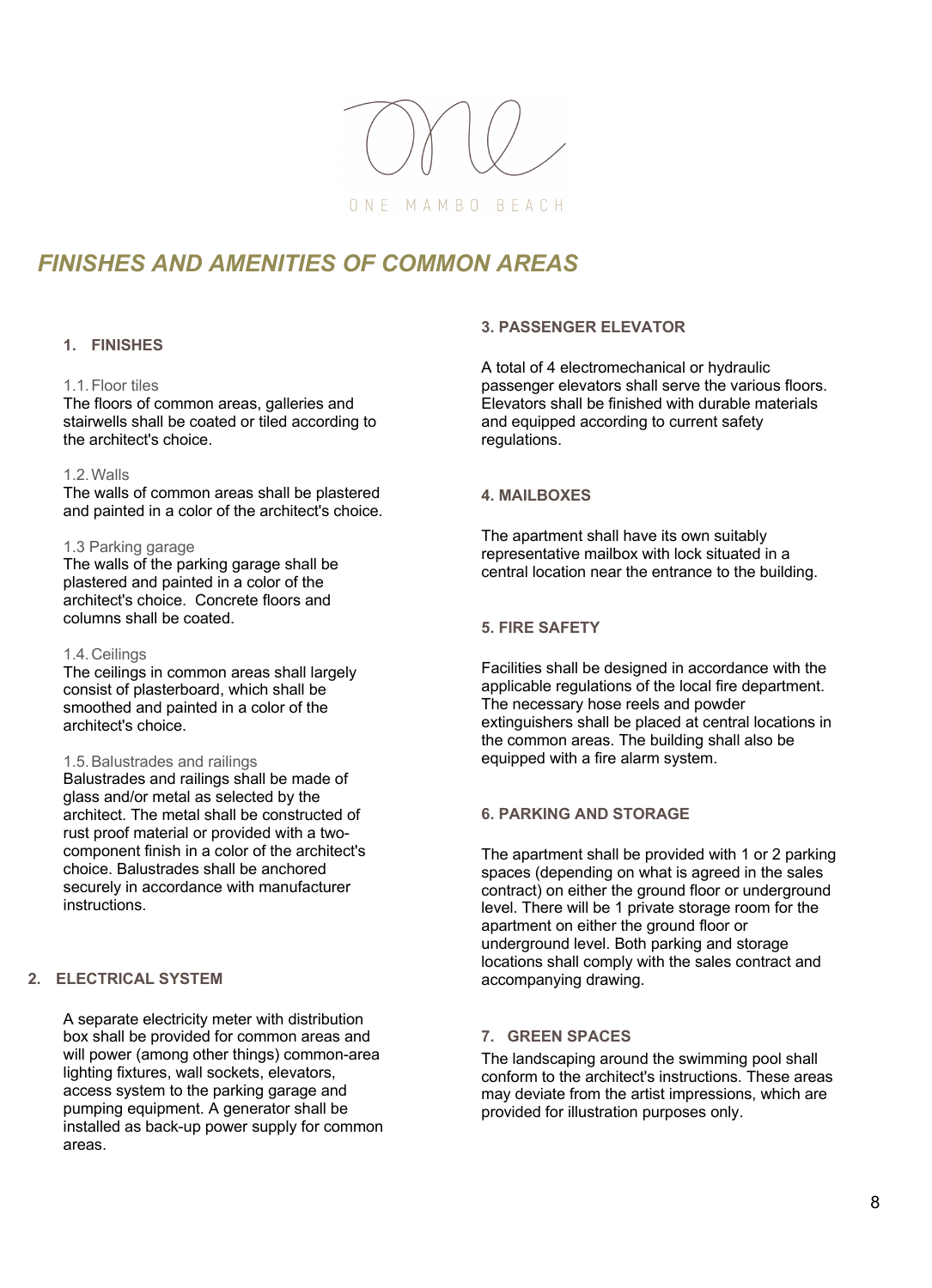

# *FINISHES AND AMENITIES OF COMMON AREAS*

# **1. FINISHES**

#### 1.1.Floor tiles

The floors of common areas, galleries and stairwells shall be coated or tiled according to the architect's choice.

#### 1.2.Walls

The walls of common areas shall be plastered and painted in a color of the architect's choice.

#### 1.3 Parking garage

The walls of the parking garage shall be plastered and painted in a color of the architect's choice. Concrete floors and columns shall be coated.

## 1.4.Ceilings

The ceilings in common areas shall largely consist of plasterboard, which shall be smoothed and painted in a color of the architect's choice.

## 1.5.Balustrades and railings

Balustrades and railings shall be made of glass and/or metal as selected by the architect. The metal shall be constructed of rust proof material or provided with a twocomponent finish in a color of the architect's choice. Balustrades shall be anchored securely in accordance with manufacturer instructions.

# **2. ELECTRICAL SYSTEM**

A separate electricity meter with distribution box shall be provided for common areas and will power (among other things) common-area lighting fixtures, wall sockets, elevators, access system to the parking garage and pumping equipment. A generator shall be installed as back-up power supply for common areas.

## **3. PASSENGER ELEVATOR**

A total of 4 electromechanical or hydraulic passenger elevators shall serve the various floors. Elevators shall be finished with durable materials and equipped according to current safety regulations.

# **4. MAILBOXES**

The apartment shall have its own suitably representative mailbox with lock situated in a central location near the entrance to the building.

# **5. FIRE SAFETY**

Facilities shall be designed in accordance with the applicable regulations of the local fire department. The necessary hose reels and powder extinguishers shall be placed at central locations in the common areas. The building shall also be equipped with a fire alarm system.

# **6. PARKING AND STORAGE**

The apartment shall be provided with 1 or 2 parking spaces (depending on what is agreed in the sales contract) on either the ground floor or underground level. There will be 1 private storage room for the apartment on either the ground floor or underground level. Both parking and storage locations shall comply with the sales contract and accompanying drawing.

# **7. GREEN SPACES**

The landscaping around the swimming pool shall conform to the architect's instructions. These areas may deviate from the artist impressions, which are provided for illustration purposes only.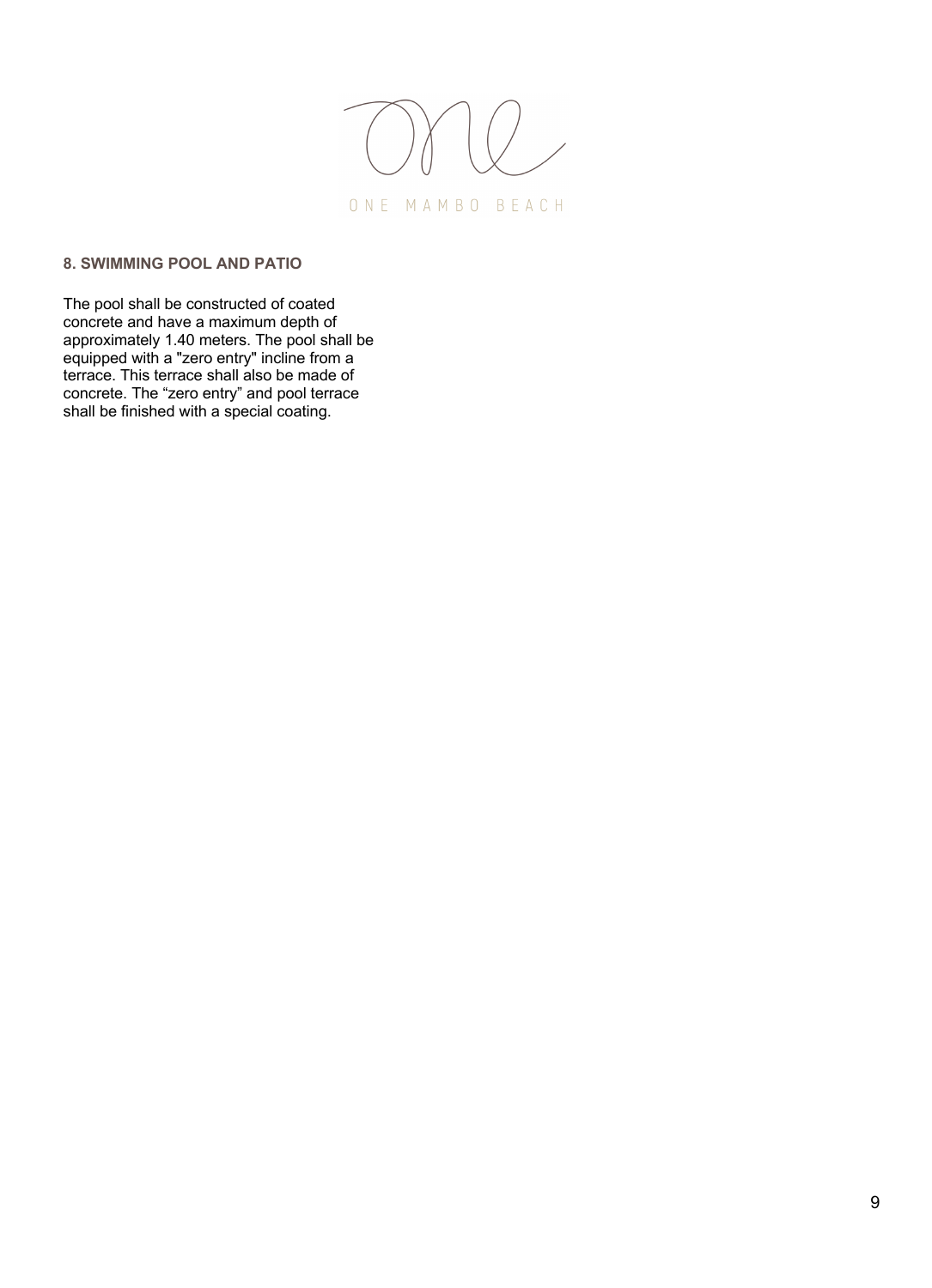

# **8. SWIMMING POOL AND PATIO**

The pool shall be constructed of coated concrete and have a maximum depth of approximately 1.40 meters. The pool shall be equipped with a "zero entry" incline from a terrace. This terrace shall also be made of concrete. The "zero entry" and pool terrace shall be finished with a special coating.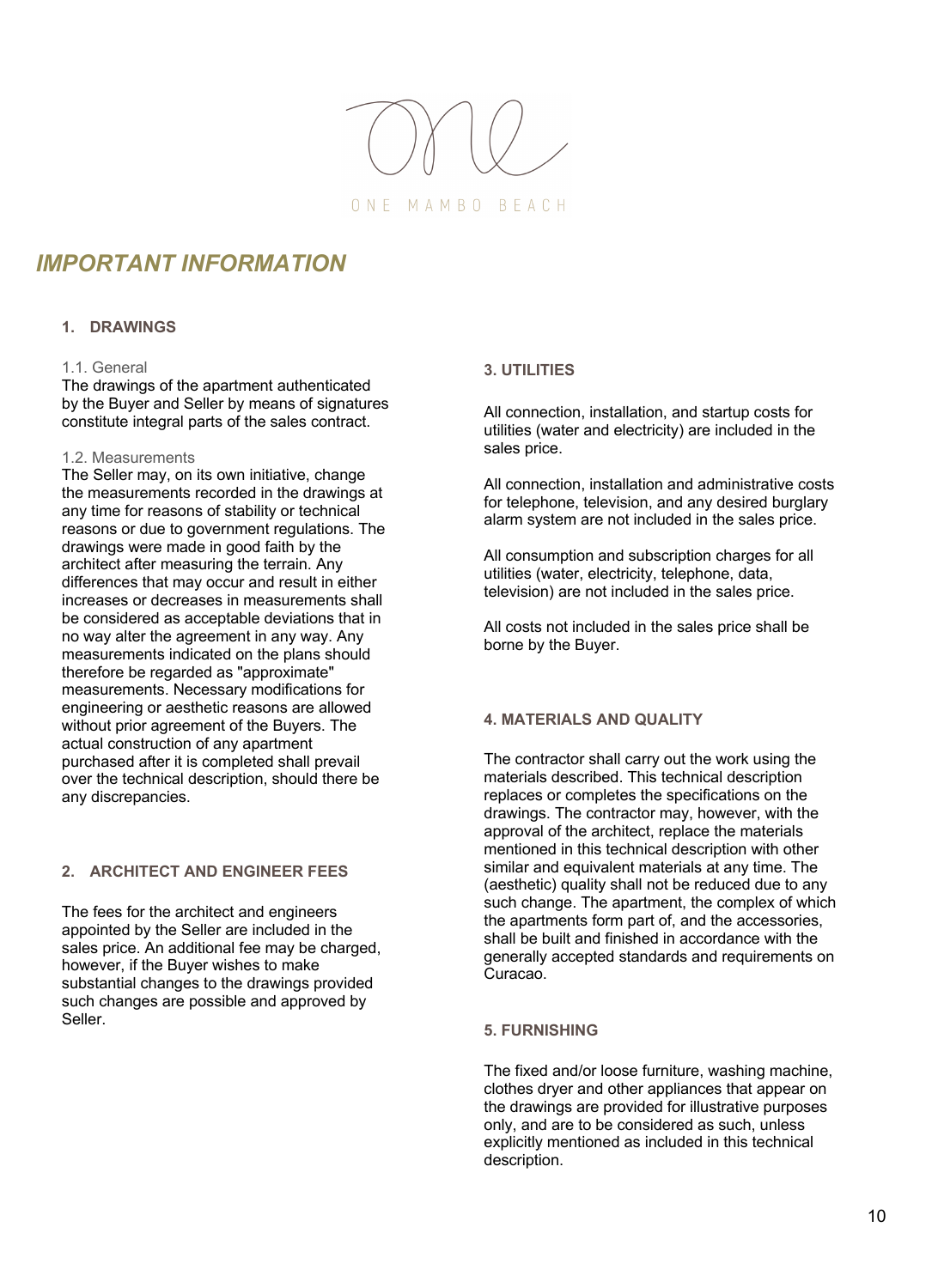

# *IMPORTANT INFORMATION*

# **1. DRAWINGS**

# 1.1. General

The drawings of the apartment authenticated by the Buyer and Seller by means of signatures constitute integral parts of the sales contract.

## 1.2. Measurements

The Seller may, on its own initiative, change the measurements recorded in the drawings at any time for reasons of stability or technical reasons or due to government regulations. The drawings were made in good faith by the architect after measuring the terrain. Any differences that may occur and result in either increases or decreases in measurements shall be considered as acceptable deviations that in no way alter the agreement in any way. Any measurements indicated on the plans should therefore be regarded as "approximate" measurements. Necessary modifications for engineering or aesthetic reasons are allowed without prior agreement of the Buyers. The actual construction of any apartment purchased after it is completed shall prevail over the technical description, should there be any discrepancies.

# **2. ARCHITECT AND ENGINEER FEES**

The fees for the architect and engineers appointed by the Seller are included in the sales price. An additional fee may be charged, however, if the Buyer wishes to make substantial changes to the drawings provided such changes are possible and approved by Seller.

# **3. UTILITIES**

All connection, installation, and startup costs for utilities (water and electricity) are included in the sales price.

All connection, installation and administrative costs for telephone, television, and any desired burglary alarm system are not included in the sales price.

All consumption and subscription charges for all utilities (water, electricity, telephone, data, television) are not included in the sales price.

All costs not included in the sales price shall be borne by the Buyer.

# **4. MATERIALS AND QUALITY**

The contractor shall carry out the work using the materials described. This technical description replaces or completes the specifications on the drawings. The contractor may, however, with the approval of the architect, replace the materials mentioned in this technical description with other similar and equivalent materials at any time. The (aesthetic) quality shall not be reduced due to any such change. The apartment, the complex of which the apartments form part of, and the accessories, shall be built and finished in accordance with the generally accepted standards and requirements on Curacao.

# **5. FURNISHING**

The fixed and/or loose furniture, washing machine, clothes dryer and other appliances that appear on the drawings are provided for illustrative purposes only, and are to be considered as such, unless explicitly mentioned as included in this technical description.